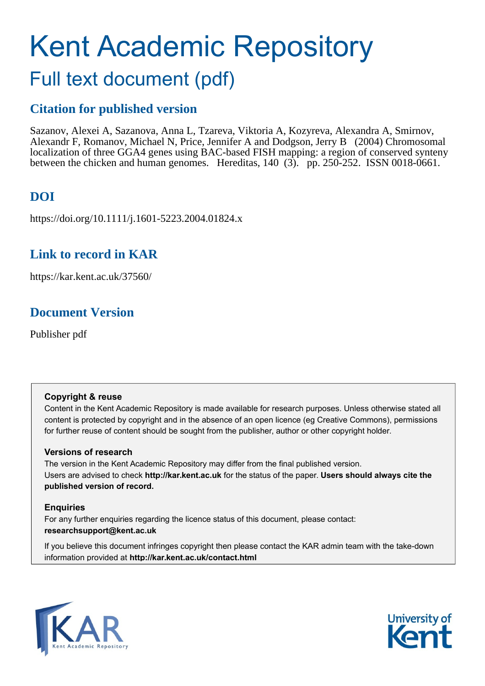# Kent Academic Repository Full text document (pdf)

# **Citation for published version**

Sazanov, Alexei A, Sazanova, Anna L, Tzareva, Viktoria A, Kozyreva, Alexandra A, Smirnov, Alexandr F, Romanov, Michael N, Price, Jennifer A and Dodgson, Jerry B (2004) Chromosomal localization of three GGA4 genes using BAC-based FISH mapping: a region of conserved synteny between the chicken and human genomes. Hereditas, 140 (3). pp. 250-252. ISSN 0018-0661.

# **DOI**

https://doi.org/10.1111/j.1601-5223.2004.01824.x

## **Link to record in KAR**

https://kar.kent.ac.uk/37560/

## **Document Version**

Publisher pdf

## **Copyright & reuse**

Content in the Kent Academic Repository is made available for research purposes. Unless otherwise stated all content is protected by copyright and in the absence of an open licence (eg Creative Commons), permissions for further reuse of content should be sought from the publisher, author or other copyright holder.

## **Versions of research**

The version in the Kent Academic Repository may differ from the final published version. Users are advised to check **http://kar.kent.ac.uk** for the status of the paper. **Users should always cite the published version of record.**

## **Enquiries**

For any further enquiries regarding the licence status of this document, please contact: **researchsupport@kent.ac.uk**

If you believe this document infringes copyright then please contact the KAR admin team with the take-down information provided at **http://kar.kent.ac.uk/contact.html**



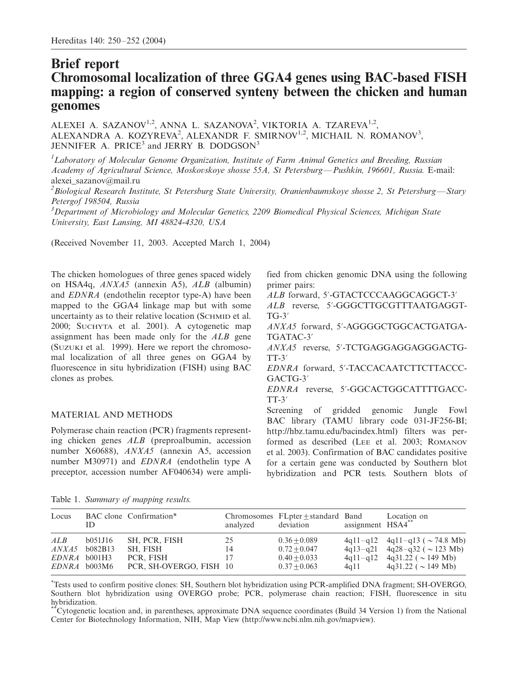## Brief report Chromosomal localization of three GGA4 genes using BAC-based FISH mapping: a region of conserved synteny between the chicken and human genomes

ALEXEI A. SAZANOV<sup>1,2</sup>, ANNA L. SAZANOVA<sup>2</sup>, VIKTORIA A. TZAREVA<sup>1,2</sup>, ALEXANDRA A. KOZYREVA<sup>2</sup>, ALEXANDR F. SMIRNOV<sup>1,2</sup>, MICHAIL N. ROMANOV<sup>3</sup>, JENNIFER A. PRICE<sup>3</sup> and JERRY B. DODGSON<sup>3</sup>

<sup>1</sup>Laboratory of Molecular Genome Organization, Institute of Farm Animal Genetics and Breeding, Russian Academy of Agricultural Science, Moskovskoye shosse 55A, St Petersburg--Pushkin, 196601, Russia. E-mail: alexei\_sazanov@mail.ru

 $^2$ Biological Research Institute, St Petersburg State University, Oranienbaumskoye shosse 2, St Petersburg—Stary Petergof 198504, Russia

<sup>3</sup>Department of Microbiology and Molecular Genetics, 2209 Biomedical Physical Sciences, Michigan State University, East Lansing, MI 48824-4320, USA

(Received November 11, 2003. Accepted March 1, 2004)

The chicken homologues of three genes spaced widely on HSA4q, ANXA5 (annexin A5), ALB (albumin) and EDNRA (endothelin receptor type-A) have been mapped to the GGA4 linkage map but with some uncertainty as to their relative location (SCHMID et al. 2000; SUCHYTA et al. 2001). A cytogenetic map assignment has been made only for the ALB gene (SUZUKI et al. 1999). Here we report the chromosomal localization of all three genes on GGA4 by fluorescence in situ hybridization (FISH) using BAC clones as probes.

#### MATERIAL AND METHODS

Polymerase chain reaction (PCR) fragments representing chicken genes ALB (preproalbumin, accession number X60688), ANXA5 (annexin A5, accession number M30971) and EDNRA (endothelin type A preceptor, accession number AF040634) were amplified from chicken genomic DNA using the following primer pairs:

ALB forward, 5'-GTACTCCCAAGGCAGGCT-3' ALB reverse, 5'-GGGCTTGCGTTTAATGAGGT- $TG-3'$ ANXA5 forward, 5?-AGGGGCTGGCACTGATGA-TGATAC-3? ANXA5 reverse, 5?-TCTGAGGAGGAGGGACTG- $TT-3'$ EDNRA forward, 5?-TACCACAATCTTCTTACCC-GACTG-3? EDNRA reverse, 5?-GGCACTGGCATTTTGACC- $TT-3'$ Screening of gridded genomic Jungle Fowl BAC library (TAMU library code 031-JF256-BI; http://hbz.tamu.edu/bacindex.html) filters was performed as described (LEE et al. 2003; ROMANOV et al. 2003). Confirmation of BAC candidates positive

for a certain gene was conducted by Southern blot hybridization and PCR tests. Southern blots of

Table 1. Summary of mapping results.

| Locus        | ID                                                 | BAC clone Confirmation <sup>*</sup>                               | analyzed       | Chromosomes FLpter+standard Band<br>deviation                        | assignment HSA4** | Location on                                                                                                                                              |
|--------------|----------------------------------------------------|-------------------------------------------------------------------|----------------|----------------------------------------------------------------------|-------------------|----------------------------------------------------------------------------------------------------------------------------------------------------------|
| ALB<br>ANXA5 | b051J16<br>b082B13<br>EDNRA b001H3<br>EDNRA b003M6 | SH, PCR, FISH<br>SH. FISH<br>PCR. FISH<br>PCR, SH-OVERGO, FISH 10 | 25<br>14<br>17 | $0.36 + 0.089$<br>$0.72 + 0.047$<br>$0.40 + 0.033$<br>$0.37 + 0.063$ | 4a11              | $4q11-q12$ $4q11-q13$ ( $\sim$ 74.8 Mb)<br>$4q13-q21$ $4q28-q32$ ( $\sim$ 123 Mb)<br>$4q11-q12$ $4q31.22$ ( $\sim$ 149 Mb)<br>$4q31.22$ ( $\sim$ 149 Mb) |

\* Tests used to confirm positive clones: SH, Southern blot hybridization using PCR-amplified DNA fragment; SH-OVERGO, Southern blot hybridization using OVERGO probe; PCR, polymerase chain reaction; FISH, fluorescence in situ hybridization.

\*\*Cytogenetic location and, in parentheses, approximate DNA sequence coordinates (Build 34 Version 1) from the National Center for Biotechnology Information, NIH, Map View (http://www.ncbi.nlm.nih.gov/mapview).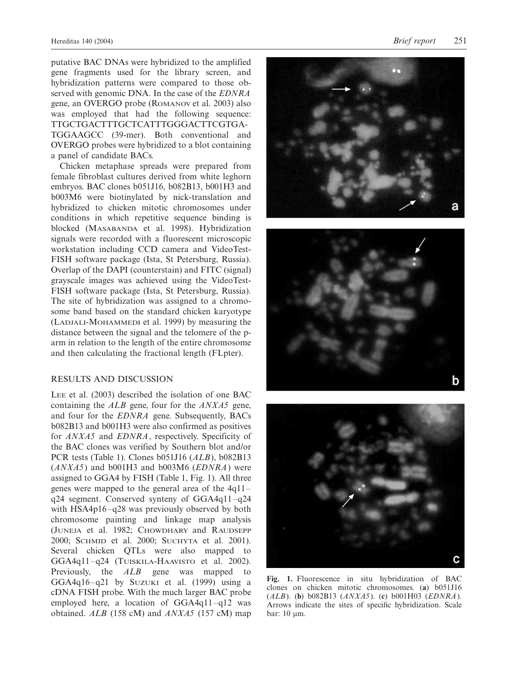putative BAC DNAs were hybridized to the amplified gene fragments used for the library screen, and hybridization patterns were compared to those observed with genomic DNA. In the case of the *EDNRA* gene, an OVERGO probe (ROMANOV et al. 2003) also was employed that had the following sequence: TTGCTGACTTTGCTCATTTGGGACTTCGTGA-TGGAAGCC (39-mer). Both conventional and OVERGO probes were hybridized to a blot containing a panel of candidate BACs.

Chicken metaphase spreads were prepared from female fibroblast cultures derived from white leghorn embryos. BAC clones b051J16, b082B13, b001H3 and b003M6 were biotinylated by nick-translation and hybridized to chicken mitotic chromosomes under conditions in which repetitive sequence binding is blocked (MASABANDA et al. 1998). Hybridization signals were recorded with a fluorescent microscopic workstation including CCD camera and VideoTest-FISH software package (Ista, St Petersburg, Russia). Overlap of the DAPI (counterstain) and FITC (signal) grayscale images was achieved using the VideoTest-FISH software package (Ista, St Petersburg, Russia). The site of hybridization was assigned to a chromosome band based on the standard chicken karyotype (LADJALI-MOHAMMEDI et al. 1999) by measuring the distance between the signal and the telomere of the parm in relation to the length of the entire chromosome and then calculating the fractional length (FLpter).

#### RESULTS AND DISCUSSION

LEE et al. (2003) described the isolation of one BAC containing the ALB gene, four for the ANXA5 gene, and four for the EDNRA gene. Subsequently, BACs b082B13 and b001H3 were also confirmed as positives for ANXA5 and EDNRA, respectively. Specificity of the BAC clones was verified by Southern blot and/or PCR tests (Table 1). Clones b051J16 (ALB), b082B13  $(ANXA5)$  and b001H3 and b003M6  $(EDNRA)$  were assigned to GGA4 by FISH (Table 1, Fig. 1). All three genes were mapped to the general area of the  $4q11$ q24 segment. Conserved synteny of  $GGA4q11-q24$ with  $HSA4p16-q28$  was previously observed by both chromosome painting and linkage map analysis (JUNEJA et al. 1982; CHOWDHARY and RAUDSEPP 2000; SCHMID et al. 2000; SUCHYTA et al. 2001). Several chicken QTLs were also mapped to GGA4q11-q24 (TUISKILA-HAAVISTO et al. 2002). Previously, the ALB gene was mapped to GGA4q16-q21 by SUZUKI et al. (1999) using a cDNA FISH probe. With the much larger BAC probe employed here, a location of  $GGA4q11-q12$  was obtained.  $ALB$  (158 cM) and  $ANXA5$  (157 cM) map







Fig. 1. Fluorescence in situ hybridization of BAC clones on chicken mitotic chromosomes. (a) b051J16 ( $ALB$ ). (b) b082B13 ( $ANXA5$ ). (c) b001H03 ( $EDNRA$ ). Arrows indicate the sites of specific hybridization. Scale bar:  $10 \mu m$ .